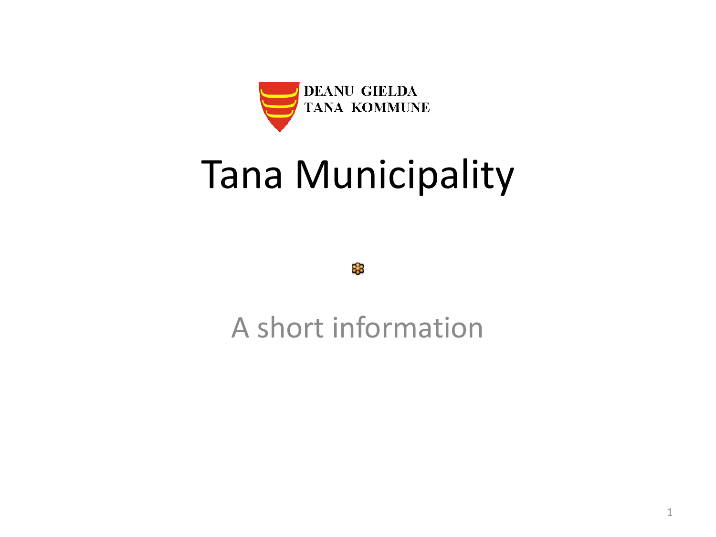

#### Tana Municipality

83

A short information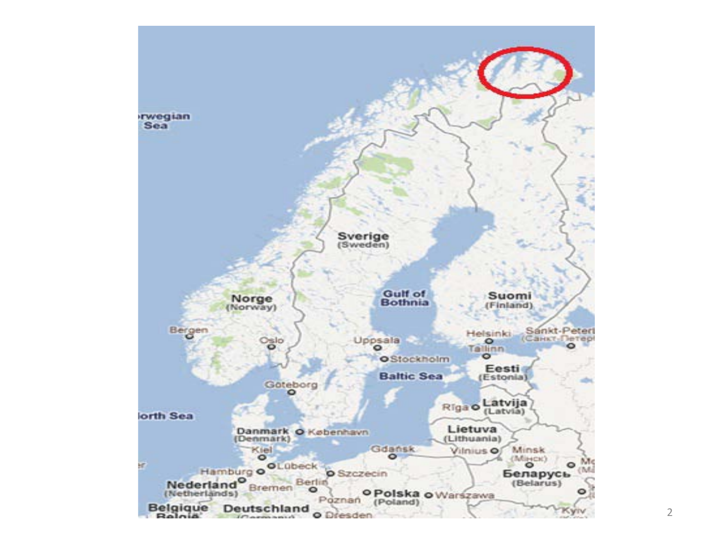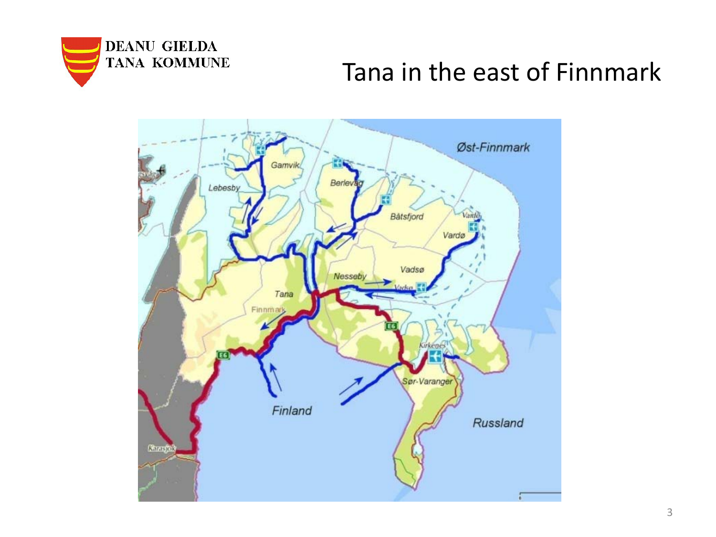

# DEANU GIELDA<br>TANA KOMMUNE<br>Tana in the east of Finnmark

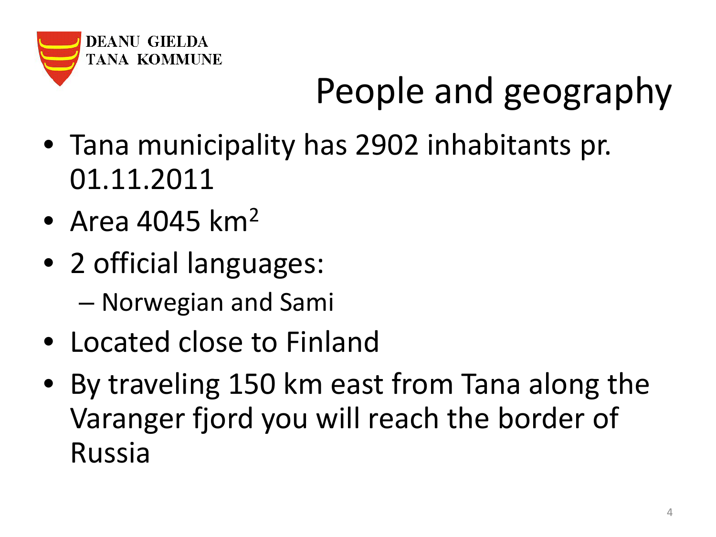

## People and geography

- Tana municipality has 2902 inhabitants pr. 01.11.2011
- Area  $4045 \mathrm{km^2}$
- 2 official languages: – Norwegian and Sami
- Located close to Finland
- By traveling 150 km east from Tana along the Varanger fjord you will reach the border of Russia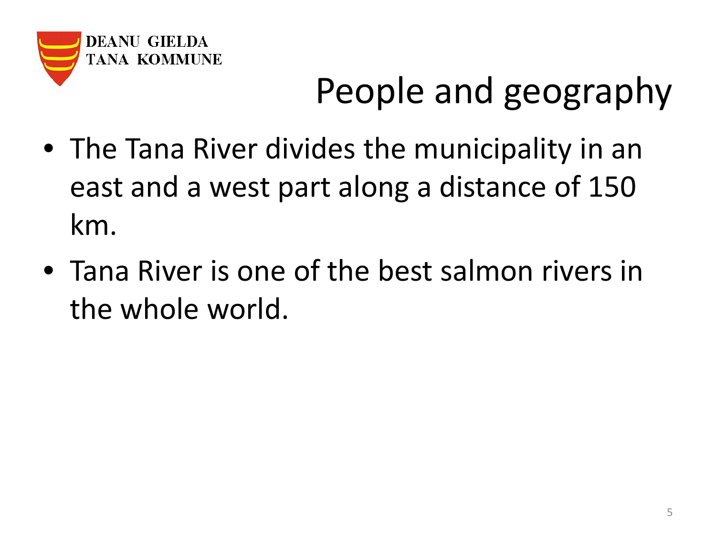

### People and geography

- The Tana River divides the municipality in an east and a west part along a distance of 150 km.
- Tana River is one of the best salmon rivers in the whole world.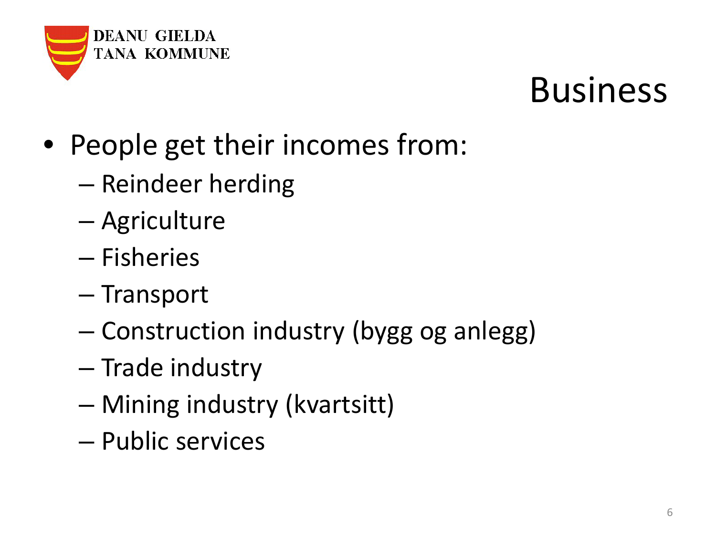

#### Business

- People get their incomes from:
	- Reindeer herding
	- Agriculture
	- Fisheries
	- Transport
	- Construction industry (bygg og anlegg)
	- Trade industry
	- Mining industry (kvartsitt)
	- Public services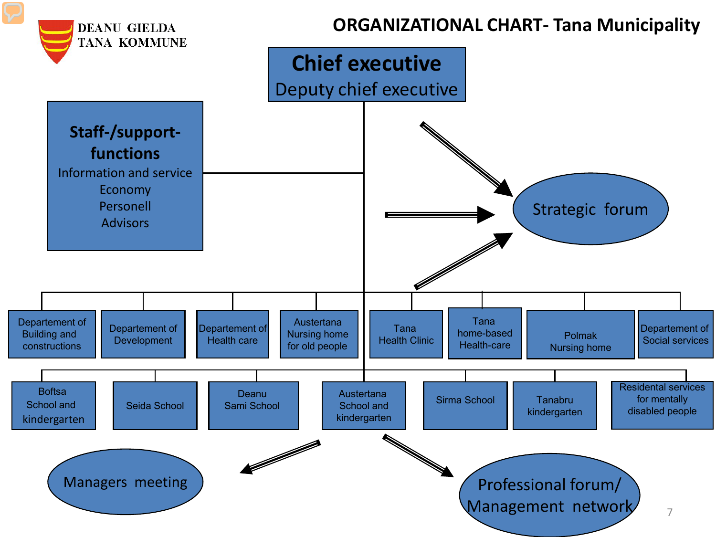